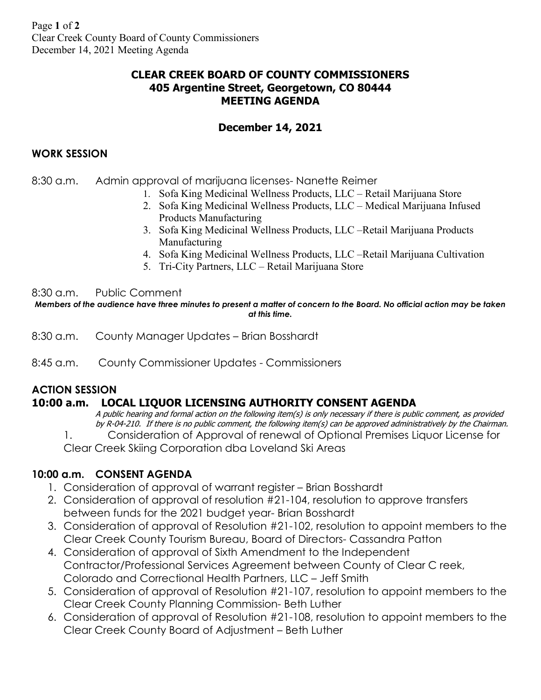## **CLEAR CREEK BOARD OF COUNTY COMMISSIONERS 405 Argentine Street, Georgetown, CO 80444 MEETING AGENDA**

## **December 14, 2021**

### **WORK SESSION**

8:30 a.m. Admin approval of marijuana licenses- Nanette Reimer

- 1. Sofa King Medicinal Wellness Products, LLC Retail Marijuana Store
- 2. Sofa King Medicinal Wellness Products, LLC Medical Marijuana Infused Products Manufacturing
- 3. Sofa King Medicinal Wellness Products, LLC –Retail Marijuana Products Manufacturing
- 4. Sofa King Medicinal Wellness Products, LLC –Retail Marijuana Cultivation
- 5. Tri-City Partners, LLC Retail Marijuana Store

#### 8:30 a.m. Public Comment

*Members of the audience have three minutes to present a matter of concern to the Board. No official action may be taken at this time.*

- 8:30 a.m. County Manager Updates Brian Bosshardt
- 8:45 a.m. County Commissioner Updates Commissioners

# **ACTION SESSION**

## **10:00 a.m. LOCAL LIQUOR LICENSING AUTHORITY CONSENT AGENDA**

A public hearing and formal action on the following item(s) is only necessary if there is public comment, as provided by R-04-210. If there is no public comment, the following item(s) can be approved administratively by the Chairman. 1. Consideration of Approval of renewal of Optional Premises Liquor License for Clear Creek Skiing Corporation dba Loveland Ski Areas

## **10:00 a.m. CONSENT AGENDA**

- 1. Consideration of approval of warrant register Brian Bosshardt
- 2. Consideration of approval of resolution #21-104, resolution to approve transfers between funds for the 2021 budget year- Brian Bosshardt
- 3. Consideration of approval of Resolution #21-102, resolution to appoint members to the Clear Creek County Tourism Bureau, Board of Directors- Cassandra Patton
- 4. Consideration of approval of Sixth Amendment to the Independent Contractor/Professional Services Agreement between County of Clear C reek, Colorado and Correctional Health Partners, LLC – Jeff Smith
- 5. Consideration of approval of Resolution #21-107, resolution to appoint members to the Clear Creek County Planning Commission- Beth Luther
- 6. Consideration of approval of Resolution #21-108, resolution to appoint members to the Clear Creek County Board of Adjustment – Beth Luther